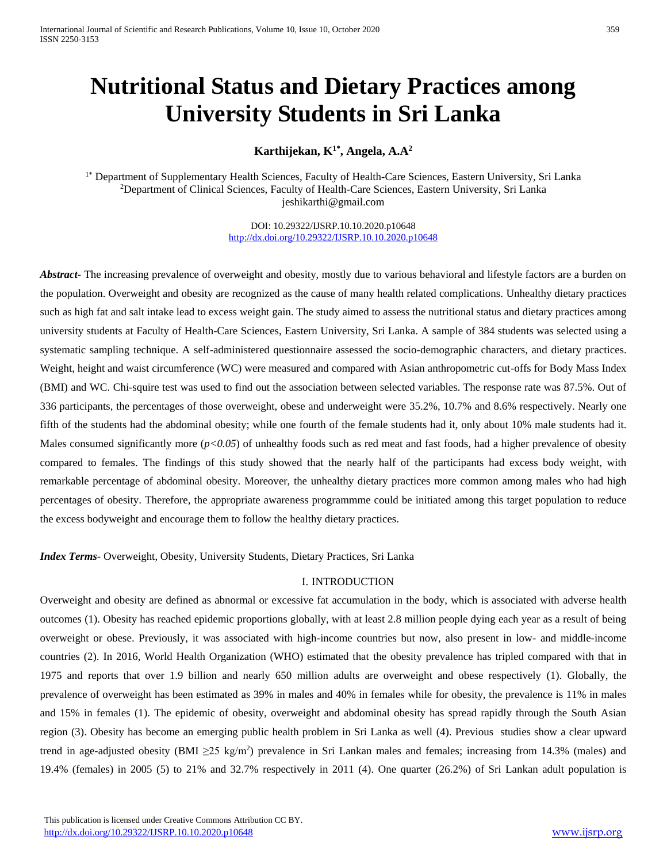# **Nutritional Status and Dietary Practices among University Students in Sri Lanka**

**Karthijekan, K1\* , Angela, A.A<sup>2</sup>**

<sup>1\*</sup> Department of Supplementary Health Sciences, Faculty of Health-Care Sciences, Eastern University, Sri Lanka <sup>2</sup>Department of Clinical Sciences, Faculty of Health-Care Sciences, Eastern University, Sri Lanka [jeshikarthi@gmail.com](mailto:jeshikarthi@gmail.com)

> DOI: 10.29322/IJSRP.10.10.2020.p10648 <http://dx.doi.org/10.29322/IJSRP.10.10.2020.p10648>

*Abstract***-** The increasing prevalence of overweight and obesity, mostly due to various behavioral and lifestyle factors are a burden on the population. Overweight and obesity are recognized as the cause of many health related complications. Unhealthy dietary practices such as high fat and salt intake lead to excess weight gain. The study aimed to assess the nutritional status and dietary practices among university students at Faculty of Health-Care Sciences, Eastern University, Sri Lanka. A sample of 384 students was selected using a systematic sampling technique. A self-administered questionnaire assessed the socio-demographic characters, and dietary practices. Weight, height and waist circumference (WC) were measured and compared with Asian anthropometric cut-offs for Body Mass Index (BMI) and WC. Chi-squire test was used to find out the association between selected variables. The response rate was 87.5%. Out of 336 participants, the percentages of those overweight, obese and underweight were 35.2%, 10.7% and 8.6% respectively. Nearly one fifth of the students had the abdominal obesity; while one fourth of the female students had it, only about 10% male students had it. Males consumed significantly more ( $p<0.05$ ) of unhealthy foods such as red meat and fast foods, had a higher prevalence of obesity compared to females. The findings of this study showed that the nearly half of the participants had excess body weight, with remarkable percentage of abdominal obesity. Moreover, the unhealthy dietary practices more common among males who had high percentages of obesity. Therefore, the appropriate awareness programmme could be initiated among this target population to reduce the excess bodyweight and encourage them to follow the healthy dietary practices.

*Index Terms*- Overweight, Obesity, University Students, Dietary Practices, Sri Lanka

# I. INTRODUCTION

Overweight and obesity are defined as abnormal or excessive fat accumulation in the body, which is associated with adverse health outcomes (1). Obesity has reached epidemic proportions globally, with at least 2.8 million people dying each year as a result of being overweight or obese. Previously, it was associated with high-income countries but now, also present in low- and middle-income countries (2). In 2016, World Health Organization (WHO) estimated that the obesity prevalence has tripled compared with that in 1975 and reports that over 1.9 billion and nearly 650 million adults are overweight and obese respectively (1). Globally, the prevalence of overweight has been estimated as 39% in males and 40% in females while for obesity, the prevalence is 11% in males and 15% in females (1). The epidemic of obesity, overweight and abdominal obesity has spread rapidly through the South Asian region (3). Obesity has become an emerging public health problem in Sri Lanka as well (4). Previous studies show a clear upward trend in age-adjusted obesity (BMI  $\geq$ 25 kg/m<sup>2</sup>) prevalence in Sri Lankan males and females; increasing from 14.3% (males) and 19.4% (females) in 2005 (5) to 21% and 32.7% respectively in 2011 (4). One quarter (26.2%) of Sri Lankan adult population is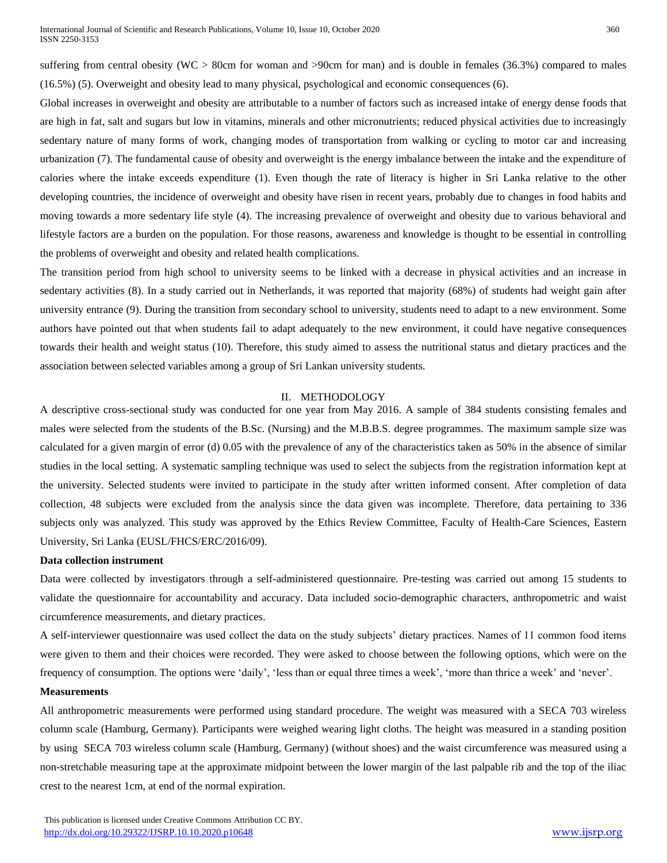suffering from central obesity (WC > 80cm for woman and >90cm for man) and is double in females (36.3%) compared to males (16.5%) (5). Overweight and obesity lead to many physical, psychological and economic consequences (6).

Global increases in overweight and obesity are attributable to a number of factors such as increased intake of energy dense foods that are high in fat, salt and sugars but low in vitamins, minerals and other micronutrients; reduced physical activities due to increasingly sedentary nature of many forms of work, changing modes of transportation from walking or cycling to motor car and increasing urbanization (7). The fundamental cause of obesity and overweight is the energy imbalance between the intake and the expenditure of calories where the intake exceeds expenditure (1). Even though the rate of literacy is higher in Sri Lanka relative to the other developing countries, the incidence of overweight and obesity have risen in recent years, probably due to changes in food habits and moving towards a more sedentary life style (4). The increasing prevalence of overweight and obesity due to various behavioral and lifestyle factors are a burden on the population. For those reasons, awareness and knowledge is thought to be essential in controlling the problems of overweight and obesity and related health complications.

The transition period from high school to university seems to be linked with a decrease in physical activities and an increase in sedentary activities (8). In a study carried out in Netherlands, it was reported that majority (68%) of students had weight gain after university entrance (9). During the transition from secondary school to university, students need to adapt to a new environment. Some authors have pointed out that when students fail to adapt adequately to the new environment, it could have negative consequences towards their health and weight status (10). Therefore, this study aimed to assess the nutritional status and dietary practices and the association between selected variables among a group of Sri Lankan university students.

## II. METHODOLOGY

A descriptive cross-sectional study was conducted for one year from May 2016. A sample of 384 students consisting females and males were selected from the students of the B.Sc. (Nursing) and the M.B.B.S. degree programmes. The maximum sample size was calculated for a given margin of error (d) 0.05 with the prevalence of any of the characteristics taken as 50% in the absence of similar studies in the local setting. A systematic sampling technique was used to select the subjects from the registration information kept at the university. Selected students were invited to participate in the study after written informed consent. After completion of data collection, 48 subjects were excluded from the analysis since the data given was incomplete. Therefore, data pertaining to 336 subjects only was analyzed. This study was approved by the Ethics Review Committee, Faculty of Health-Care Sciences, Eastern University, Sri Lanka (EUSL/FHCS/ERC/2016/09).

#### **Data collection instrument**

Data were collected by investigators through a self-administered questionnaire. Pre-testing was carried out among 15 students to validate the questionnaire for accountability and accuracy. Data included socio-demographic characters, anthropometric and waist circumference measurements, and dietary practices.

A self-interviewer questionnaire was used collect the data on the study subjects' dietary practices. Names of 11 common food items were given to them and their choices were recorded. They were asked to choose between the following options, which were on the frequency of consumption. The options were 'daily', 'less than or equal three times a week', 'more than thrice a week' and 'never'.

#### **Measurements**

All anthropometric measurements were performed using standard procedure. The weight was measured with a SECA 703 wireless column scale (Hamburg, Germany). Participants were weighed wearing light cloths. The height was measured in a standing position by using SECA 703 wireless column scale (Hamburg, Germany) (without shoes) and the waist circumference was measured using a non-stretchable measuring tape at the approximate midpoint between the lower margin of the last palpable rib and the top of the iliac crest to the nearest 1cm, at end of the normal expiration.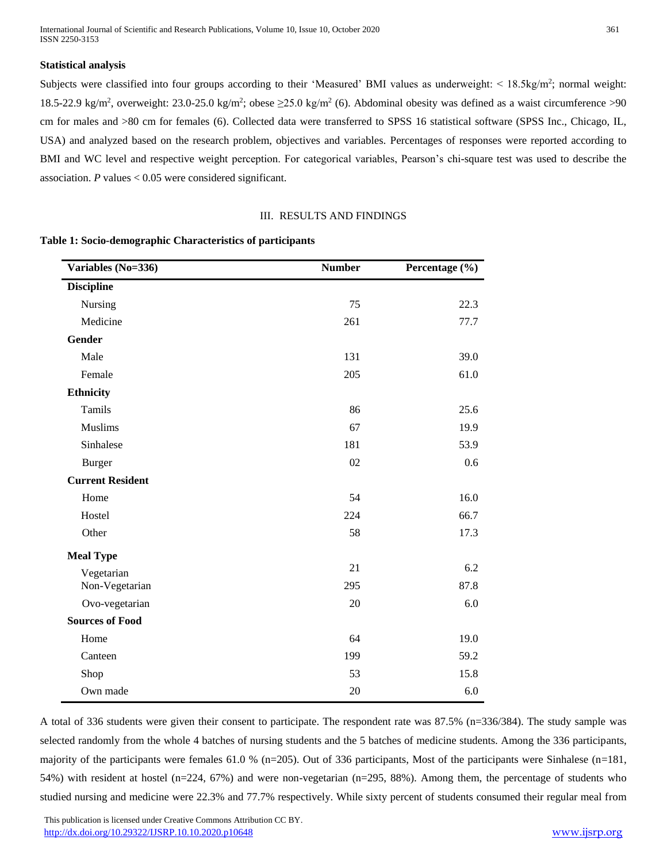International Journal of Scientific and Research Publications, Volume 10, Issue 10, October 2020 361 ISSN 2250-3153

## **Statistical analysis**

Subjects were classified into four groups according to their 'Measured' BMI values as underweight:  $\leq 18.5 \text{kg/m}^2$ ; normal weight: 18.5-22.9 kg/m<sup>2</sup>, overweight: 23.0-25.0 kg/m<sup>2</sup>; obese  $\geq$ 25.0 kg/m<sup>2</sup> (6). Abdominal obesity was defined as a waist circumference >90 cm for males and >80 cm for females (6). Collected data were transferred to SPSS 16 statistical software (SPSS Inc., Chicago, IL, USA) and analyzed based on the research problem, objectives and variables. Percentages of responses were reported according to BMI and WC level and respective weight perception. For categorical variables, Pearson's chi-square test was used to describe the association. *P* values < 0.05 were considered significant.

## III. RESULTS AND FINDINGS

## **Table 1: Socio-demographic Characteristics of participants**

| Variables (No=336)      | <b>Number</b> | Percentage (%) |
|-------------------------|---------------|----------------|
| <b>Discipline</b>       |               |                |
| Nursing                 | 75            | 22.3           |
| Medicine                | 261           | 77.7           |
| <b>Gender</b>           |               |                |
| Male                    | 131           | 39.0           |
| Female                  | 205           | 61.0           |
| <b>Ethnicity</b>        |               |                |
| Tamils                  | 86            | 25.6           |
| <b>Muslims</b>          | 67            | 19.9           |
| Sinhalese               | 181           | 53.9           |
| <b>Burger</b>           | 02            | 0.6            |
| <b>Current Resident</b> |               |                |
| Home                    | 54            | 16.0           |
| Hostel                  | 224           | 66.7           |
| Other                   | 58            | 17.3           |
| <b>Meal Type</b>        |               |                |
| Vegetarian              | 21            | 6.2            |
| Non-Vegetarian          | 295           | 87.8           |
| Ovo-vegetarian          | 20            | 6.0            |
| <b>Sources of Food</b>  |               |                |
| Home                    | 64            | 19.0           |
| Canteen                 | 199           | 59.2           |
| Shop                    | 53            | 15.8           |
| Own made                | 20            | 6.0            |

A total of 336 students were given their consent to participate. The respondent rate was 87.5% (n=336/384). The study sample was selected randomly from the whole 4 batches of nursing students and the 5 batches of medicine students. Among the 336 participants, majority of the participants were females 61.0 % (n=205). Out of 336 participants, Most of the participants were Sinhalese (n=181, 54%) with resident at hostel (n=224, 67%) and were non-vegetarian (n=295, 88%). Among them, the percentage of students who studied nursing and medicine were 22.3% and 77.7% respectively. While sixty percent of students consumed their regular meal from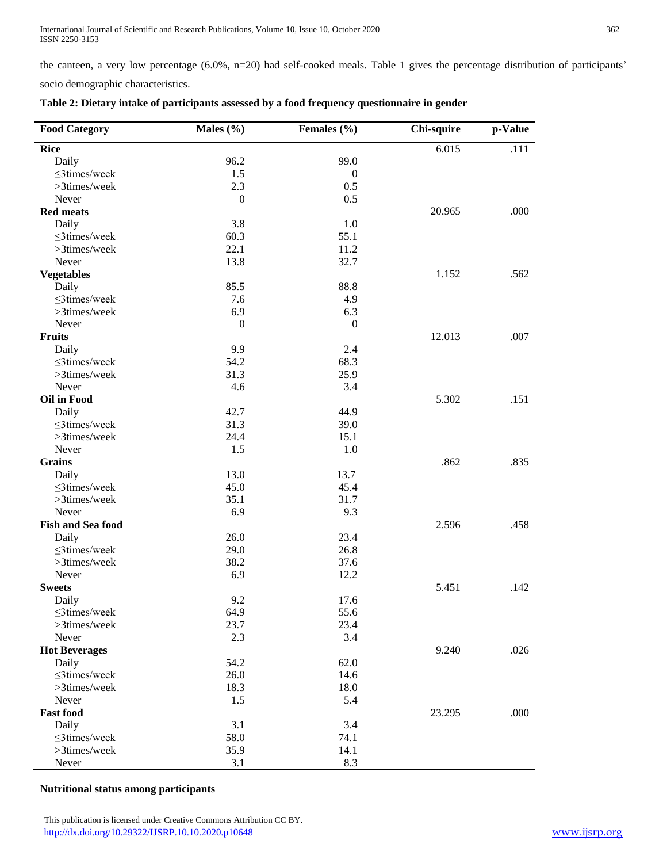the canteen, a very low percentage (6.0%, n=20) had self-cooked meals. Table 1 gives the percentage distribution of participants'

socio demographic characteristics.

| <b>Food Category</b>     | Males (%)        | Females (%)      | Chi-squire | p-Value |
|--------------------------|------------------|------------------|------------|---------|
| <b>Rice</b>              |                  |                  | 6.015      | .111    |
| Daily                    | 96.2             | 99.0             |            |         |
| ≤3times/week             | 1.5              | $\boldsymbol{0}$ |            |         |
| >3times/week             | 2.3              | 0.5              |            |         |
| Never                    | $\boldsymbol{0}$ | 0.5              |            |         |
| <b>Red meats</b>         |                  |                  | 20.965     | .000    |
| Daily                    | 3.8              | 1.0              |            |         |
| ≤3times/week             | 60.3             | 55.1             |            |         |
| >3times/week             | 22.1             | 11.2             |            |         |
| Never                    | 13.8             | 32.7             |            |         |
| <b>Vegetables</b>        |                  |                  | 1.152      | .562    |
| Daily                    | 85.5             | 88.8             |            |         |
| ≤3times/week             | 7.6              | 4.9              |            |         |
| >3times/week             | 6.9              | 6.3              |            |         |
| Never                    | $\boldsymbol{0}$ | $\boldsymbol{0}$ |            |         |
| Fruits                   |                  |                  | 12.013     | .007    |
| Daily                    | 9.9              | 2.4              |            |         |
| ≤3times/week             | 54.2             | 68.3             |            |         |
| >3times/week             | 31.3             | 25.9             |            |         |
| Never                    | 4.6              | 3.4              |            |         |
| <b>Oil in Food</b>       |                  |                  | 5.302      | .151    |
| Daily                    | 42.7             | 44.9             |            |         |
| $\leq$ 3times/week       | 31.3             | 39.0             |            |         |
| >3times/week             | 24.4             | 15.1             |            |         |
| Never                    | 1.5              | 1.0              |            |         |
| <b>Grains</b>            |                  |                  | .862       | .835    |
| Daily                    | 13.0             | 13.7             |            |         |
| $\leq$ 3times/week       | 45.0             | 45.4             |            |         |
| >3times/week             | 35.1             | 31.7             |            |         |
| Never                    | 6.9              | 9.3              |            |         |
| <b>Fish and Sea food</b> |                  |                  | 2.596      | .458    |
| Daily                    | 26.0             | 23.4             |            |         |
| ≤3times/week             | 29.0             | 26.8             |            |         |
| >3times/week             | 38.2             | 37.6             |            |         |
| Never                    | 6.9              | 12.2             |            |         |
| <b>Sweets</b>            |                  |                  | 5.451      | .142    |
| Daily                    | 9.2              | 17.6             |            |         |
| $\leq$ 3times/week       | 64.9             | 55.6             |            |         |
| >3times/week             | 23.7             | 23.4             |            |         |
| Never                    | 2.3              | 3.4              |            |         |
| <b>Hot Beverages</b>     |                  |                  | 9.240      | .026    |
| Daily                    | 54.2             | 62.0             |            |         |
| ≤3times/week             | 26.0             | 14.6             |            |         |
| >3times/week             | 18.3             | 18.0             |            |         |
| Never                    | 1.5              | 5.4              |            |         |
| <b>Fast food</b>         |                  |                  | 23.295     | .000    |
| Daily                    | 3.1              | 3.4              |            |         |
| $\leq$ 3times/week       | 58.0             | 74.1             |            |         |
| >3times/week             | 35.9             | 14.1             |            |         |
| Never                    | 3.1              | 8.3              |            |         |

| Table 2: Dietary intake of participants assessed by a food frequency questionnaire in gender |  |  |  |  |  |  |  |  |  |
|----------------------------------------------------------------------------------------------|--|--|--|--|--|--|--|--|--|
|----------------------------------------------------------------------------------------------|--|--|--|--|--|--|--|--|--|

**Nutritional status among participants**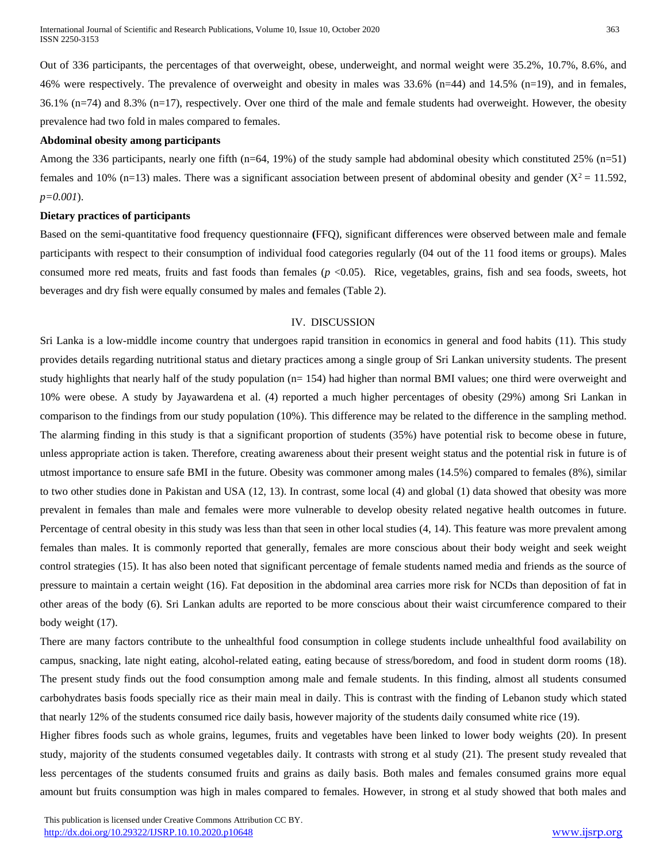International Journal of Scientific and Research Publications, Volume 10, Issue 10, October 2020 363 ISSN 2250-3153

Out of 336 participants, the percentages of that overweight, obese, underweight, and normal weight were 35.2%, 10.7%, 8.6%, and 46% were respectively. The prevalence of overweight and obesity in males was 33.6% (n=44) and 14.5% (n=19), and in females, 36.1% (n=74) and 8.3% (n=17), respectively. Over one third of the male and female students had overweight. However, the obesity prevalence had two fold in males compared to females.

#### **Abdominal obesity among participants**

Among the 336 participants, nearly one fifth (n=64, 19%) of the study sample had abdominal obesity which constituted 25% (n=51) females and 10% (n=13) males. There was a significant association between present of abdominal obesity and gender  $(X^2 = 11.592$ , *p=0.001*).

# **Dietary practices of participants**

Based on the semi-quantitative food frequency questionnaire **(**FFQ), significant differences were observed between male and female participants with respect to their consumption of individual food categories regularly (04 out of the 11 food items or groups). Males consumed more red meats, fruits and fast foods than females (*p* <0.05). Rice, vegetables, grains, fish and sea foods, sweets, hot beverages and dry fish were equally consumed by males and females (Table 2).

# IV. DISCUSSION

Sri Lanka is a low-middle income country that undergoes rapid transition in economics in general and food habits (11). This study provides details regarding nutritional status and dietary practices among a single group of Sri Lankan university students. The present study highlights that nearly half of the study population (n= 154) had higher than normal BMI values; one third were overweight and 10% were obese. A study by Jayawardena et al. (4) reported a much higher percentages of obesity (29%) among Sri Lankan in comparison to the findings from our study population (10%). This difference may be related to the difference in the sampling method. The alarming finding in this study is that a significant proportion of students (35%) have potential risk to become obese in future, unless appropriate action is taken. Therefore, creating awareness about their present weight status and the potential risk in future is of utmost importance to ensure safe BMI in the future. Obesity was commoner among males (14.5%) compared to females (8%), similar to two other studies done in Pakistan and USA (12, 13). In contrast, some local (4) and global (1) data showed that obesity was more prevalent in females than male and females were more vulnerable to develop obesity related negative health outcomes in future. Percentage of central obesity in this study was less than that seen in other local studies (4, 14). This feature was more prevalent among females than males. It is commonly reported that generally, females are more conscious about their body weight and seek weight control strategies (15). It has also been noted that significant percentage of female students named media and friends as the source of pressure to maintain a certain weight (16). Fat deposition in the abdominal area carries more risk for NCDs than deposition of fat in other areas of the body (6). Sri Lankan adults are reported to be more conscious about their waist circumference compared to their body weight (17).

There are many factors contribute to the unhealthful food consumption in college students include unhealthful food availability on campus, snacking, late night eating, alcohol-related eating, eating because of stress/boredom, and food in student dorm rooms (18). The present study finds out the food consumption among male and female students. In this finding, almost all students consumed carbohydrates basis foods specially rice as their main meal in daily. This is contrast with the finding of Lebanon study which stated that nearly 12% of the students consumed rice daily basis, however majority of the students daily consumed white rice (19).

Higher fibres foods such as whole grains, legumes, fruits and vegetables have been linked to lower body weights (20). In present study, majority of the students consumed vegetables daily. It contrasts with strong et al study (21). The present study revealed that less percentages of the students consumed fruits and grains as daily basis. Both males and females consumed grains more equal amount but fruits consumption was high in males compared to females. However, in strong et al study showed that both males and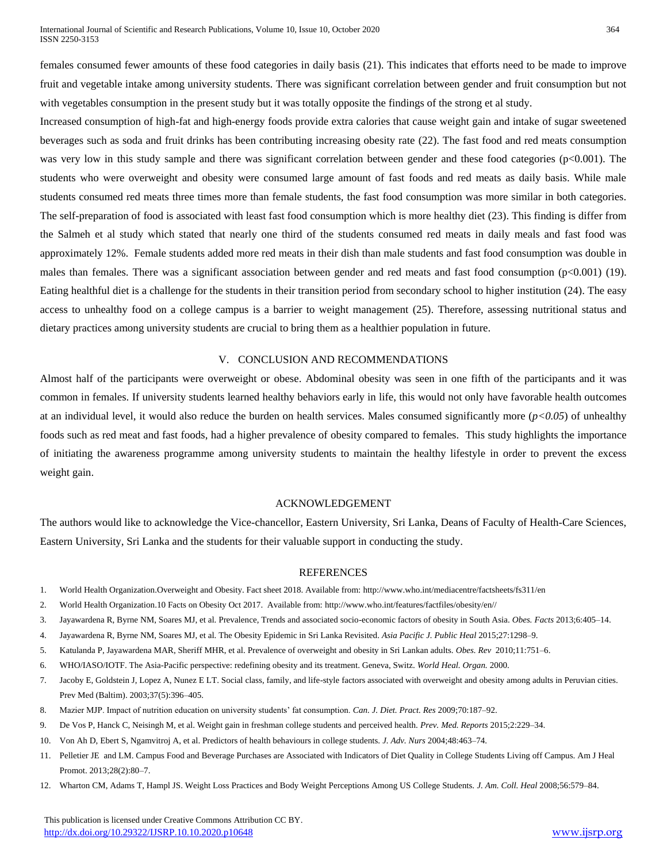females consumed fewer amounts of these food categories in daily basis (21). This indicates that efforts need to be made to improve fruit and vegetable intake among university students. There was significant correlation between gender and fruit consumption but not with vegetables consumption in the present study but it was totally opposite the findings of the strong et al study.

Increased consumption of high-fat and high-energy foods provide extra calories that cause weight gain and intake of sugar sweetened beverages such as soda and fruit drinks has been contributing increasing obesity rate (22). The fast food and red meats consumption was very low in this study sample and there was significant correlation between gender and these food categories (p<0.001). The students who were overweight and obesity were consumed large amount of fast foods and red meats as daily basis. While male students consumed red meats three times more than female students, the fast food consumption was more similar in both categories. The self-preparation of food is associated with least fast food consumption which is more healthy diet (23). This finding is differ from the Salmeh et al study which stated that nearly one third of the students consumed red meats in daily meals and fast food was approximately 12%. Female students added more red meats in their dish than male students and fast food consumption was double in males than females. There was a significant association between gender and red meats and fast food consumption  $(p<0.001)$  (19). Eating healthful diet is a challenge for the students in their transition period from secondary school to higher institution (24). The easy access to unhealthy food on a college campus is a barrier to weight management (25). Therefore, assessing nutritional status and dietary practices among university students are crucial to bring them as a healthier population in future.

# V. CONCLUSION AND RECOMMENDATIONS

Almost half of the participants were overweight or obese. Abdominal obesity was seen in one fifth of the participants and it was common in females. If university students learned healthy behaviors early in life, this would not only have favorable health outcomes at an individual level, it would also reduce the burden on health services. Males consumed significantly more (*p<0.05*) of unhealthy foods such as red meat and fast foods, had a higher prevalence of obesity compared to females. This study highlights the importance of initiating the awareness programme among university students to maintain the healthy lifestyle in order to prevent the excess weight gain.

## ACKNOWLEDGEMENT

The authors would like to acknowledge the Vice-chancellor, Eastern University, Sri Lanka, Deans of Faculty of Health-Care Sciences, Eastern University, Sri Lanka and the students for their valuable support in conducting the study.

## REFERENCES

- 1. World Health Organization.Overweight and Obesity. Fact sheet 2018. Available from[: http://www.who.int/mediacentre/factsheets/fs311/en](http://www.who.int/mediacentre/factsheets/fs311/en)
- 2. World Health Organization.10 Facts on Obesity Oct 2017. Available from[: http://www.who.int/features/factfiles/obesity/en//](http://www.who.int/features/factfiles/obesity/en/)
- 3. Jayawardena R, Byrne NM, Soares MJ, et al. Prevalence, Trends and associated socio-economic factors of obesity in South Asia. *Obes. Facts* 2013;6:405–14.
- 4. Jayawardena R, Byrne NM, Soares MJ, et al. The Obesity Epidemic in Sri Lanka Revisited. *Asia Pacific J. Public Heal* 2015;27:1298–9.
- 5. Katulanda P, Jayawardena MAR, Sheriff MHR, et al. Prevalence of overweight and obesity in Sri Lankan adults. *Obes. Rev* 2010;11:751–6.
- 6. WHO/IASO/IOTF. The Asia-Pacific perspective: redefining obesity and its treatment. Geneva, Switz. *World Heal. Organ.* 2000.
- 7. Jacoby E, Goldstein J, Lopez A, Nunez E LT. Social class, family, and life-style factors associated with overweight and obesity among adults in Peruvian cities. Prev Med (Baltim). 2003;37(5):396–405.
- 8. Mazier MJP. Impact of nutrition education on university students' fat consumption. *Can. J. Diet. Pract. Res* 2009;70:187–92.
- 9. De Vos P, Hanck C, Neisingh M, et al. Weight gain in freshman college students and perceived health. *Prev. Med. Reports* 2015;2:229–34.
- 10. Von Ah D, Ebert S, Ngamvitroj A, et al. Predictors of health behaviours in college students. *J. Adv. Nurs* 2004;48:463–74.
- 11. Pelletier JE and LM. Campus Food and Beverage Purchases are Associated with Indicators of Diet Quality in College Students Living off Campus. Am J Heal Promot. 2013;28(2):80–7.
- 12. Wharton CM, Adams T, Hampl JS. Weight Loss Practices and Body Weight Perceptions Among US College Students. *J. Am. Coll. Heal* 2008;56:579–84.

 This publication is licensed under Creative Commons Attribution CC BY. <http://dx.doi.org/10.29322/IJSRP.10.10.2020.p10648> [www.ijsrp.org](http://ijsrp.org/)